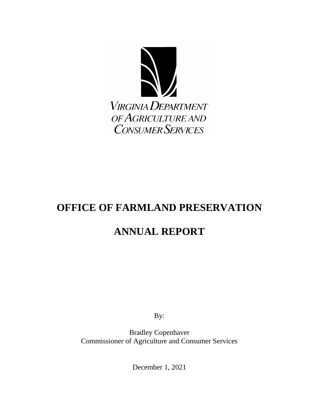

# **OFFICE OF FARMLAND PRESERVATION**

# **ANNUAL REPORT**

By:

Bradley Copenhaver Commissioner of Agriculture and Consumer Services

December 1, 2021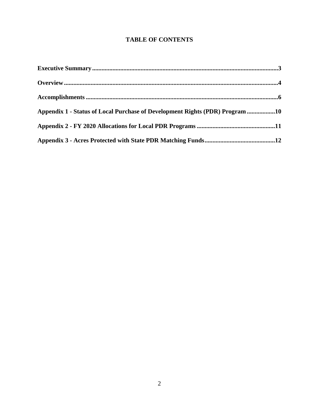# **TABLE OF CONTENTS**

| Appendix 1 - Status of Local Purchase of Development Rights (PDR) Program 10 |  |
|------------------------------------------------------------------------------|--|
|                                                                              |  |
|                                                                              |  |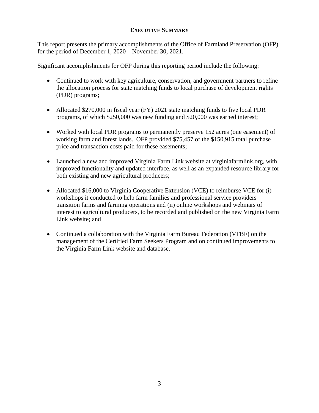## **EXECUTIVE SUMMARY**

This report presents the primary accomplishments of the Office of Farmland Preservation (OFP) for the period of December 1, 2020 – November 30, 2021.

Significant accomplishments for OFP during this reporting period include the following:

- Continued to work with key agriculture, conservation, and government partners to refine the allocation process for state matching funds to local purchase of development rights (PDR) programs;
- Allocated \$270,000 in fiscal year (FY) 2021 state matching funds to five local PDR programs, of which \$250,000 was new funding and \$20,000 was earned interest;
- Worked with local PDR programs to permanently preserve 152 acres (one easement) of working farm and forest lands. OFP provided \$75,457 of the \$150,915 total purchase price and transaction costs paid for these easements;
- Launched a new and improved Virginia Farm Link website at virginiafarmlink.org, with improved functionality and updated interface, as well as an expanded resource library for both existing and new agricultural producers;
- Allocated \$16,000 to Virginia Cooperative Extension (VCE) to reimburse VCE for (i) workshops it conducted to help farm families and professional service providers transition farms and farming operations and (ii) online workshops and webinars of interest to agricultural producers, to be recorded and published on the new Virginia Farm Link website; and
- Continued a collaboration with the Virginia Farm Bureau Federation (VFBF) on the management of the Certified Farm Seekers Program and on continued improvements to the Virginia Farm Link website and database.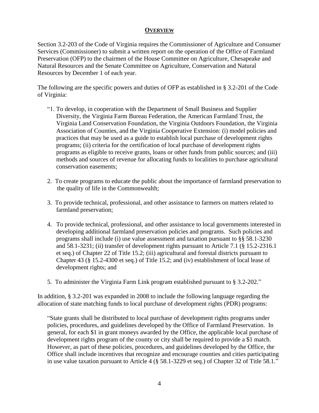### **OVERVIEW**

Section 3.2-203 of the Code of Virginia requires the Commissioner of Agriculture and Consumer Services (Commissioner) to submit a written report on the operation of the Office of Farmland Preservation (OFP) to the chairmen of the House Committee on Agriculture, Chesapeake and Natural Resources and the Senate Committee on Agriculture, Conservation and Natural Resources by December 1 of each year.

The following are the specific powers and duties of OFP as established in § 3.2-201 of the Code of Virginia:

- "1. To develop, in cooperation with the Department of Small Business and Supplier Diversity, the Virginia Farm Bureau Federation, the American Farmland Trust, the Virginia Land Conservation Foundation, the Virginia Outdoors Foundation, the Virginia Association of Counties, and the Virginia Cooperative Extension: (i) model policies and practices that may be used as a guide to establish local purchase of development rights programs; (ii) criteria for the certification of local purchase of development rights programs as eligible to receive grants, loans or other funds from public sources; and (iii) methods and sources of revenue for allocating funds to localities to purchase agricultural conservation easements;
- 2. To create programs to educate the public about the importance of farmland preservation to the quality of life in the Commonwealth;
- 3. To provide technical, professional, and other assistance to farmers on matters related to farmland preservation;
- 4. To provide technical, professional, and other assistance to local governments interested in developing additional farmland preservation policies and programs. Such policies and programs shall include (i) use value assessment and taxation pursuant to §§ 58.1-3230 and 58.1-3231; (ii) transfer of development rights pursuant to Article 7.1 (§ 15.2-2316.1 et seq.) of Chapter 22 of Title 15.2; (iii) agricultural and forestal districts pursuant to Chapter 43 (§ 15.2-4300 et seq.) of Title 15.2; and (iv) establishment of local lease of development rights; and
- 5. To administer the Virginia Farm Link program established pursuant to § [3.2-202.](http://leg1.state.va.us/cgi-bin/legp504.exe?000+cod+3.2-202)"

In addition, § 3.2-201 was expanded in 2008 to include the following language regarding the allocation of state matching funds to local purchase of development rights (PDR) programs:

"State grants shall be distributed to local purchase of development rights programs under policies, procedures, and guidelines developed by the Office of Farmland Preservation. In general, for each \$1 in grant moneys awarded by the Office, the applicable local purchase of development rights program of the county or city shall be required to provide a \$1 match. However, as part of these policies, procedures, and guidelines developed by the Office, the Office shall include incentives that recognize and encourage counties and cities participating in use value taxation pursuant to Article 4 (§ 58.1-3229 et seq.) of Chapter 32 of Title 58.1."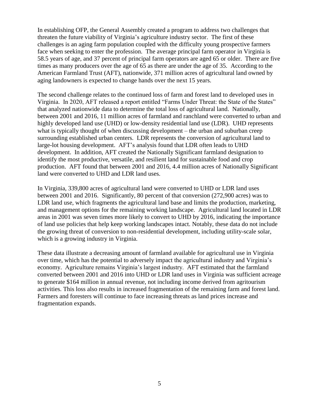In establishing OFP, the General Assembly created a program to address two challenges that threaten the future viability of Virginia's agriculture industry sector. The first of these challenges is an aging farm population coupled with the difficulty young prospective farmers face when seeking to enter the profession. The average principal farm operator in Virginia is 58.5 years of age, and 37 percent of principal farm operators are aged 65 or older. There are five times as many producers over the age of 65 as there are under the age of 35. According to the American Farmland Trust (AFT), nationwide, 371 million acres of agricultural land owned by aging landowners is expected to change hands over the next 15 years.

The second challenge relates to the continued loss of farm and forest land to developed uses in Virginia. In 2020, AFT released a report entitled "Farms Under Threat: the State of the States" that analyzed nationwide data to determine the total loss of agricultural land. Nationally, between 2001 and 2016, 11 million acres of farmland and ranchland were converted to urban and highly developed land use (UHD) or low-density residential land use (LDR). UHD represents what is typically thought of when discussing development – the urban and suburban creep surrounding established urban centers. LDR represents the conversion of agricultural land to large-lot housing development. AFT's analysis found that LDR often leads to UHD development. In addition, AFT created the Nationally Significant farmland designation to identify the most productive, versatile, and resilient land for sustainable food and crop production. AFT found that between 2001 and 2016, 4.4 million acres of Nationally Significant land were converted to UHD and LDR land uses.

In Virginia, 339,800 acres of agricultural land were converted to UHD or LDR land uses between 2001 and 2016. Significantly, 80 percent of that conversion (272,900 acres) was to LDR land use, which fragments the agricultural land base and limits the production, marketing, and management options for the remaining working landscape. Agricultural land located in LDR areas in 2001 was seven times more likely to convert to UHD by 2016, indicating the importance of land use policies that help keep working landscapes intact. Notably, these data do not include the growing threat of conversion to non-residential development, including utility-scale solar, which is a growing industry in Virginia.

These data illustrate a decreasing amount of farmland available for agricultural use in Virginia over time, which has the potential to adversely impact the agricultural industry and Virginia's economy. Agriculture remains Virginia's largest industry. AFT estimated that the farmland converted between 2001 and 2016 into UHD or LDR land uses in Virginia was sufficient acreage to generate \$164 million in annual revenue, not including income derived from agritourism activities. This loss also results in increased fragmentation of the remaining farm and forest land. Farmers and foresters will continue to face increasing threats as land prices increase and fragmentation expands.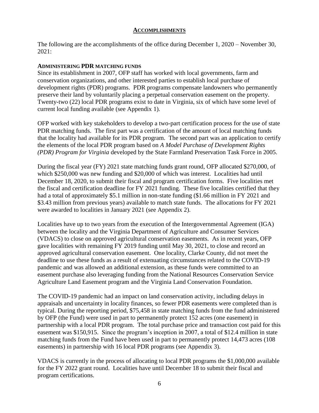### **ACCOMPLISHMENTS**

The following are the accomplishments of the office during December 1, 2020 – November 30, 2021:

### **ADMINISTERING PDR MATCHING FUNDS**

Since its establishment in 2007, OFP staff has worked with local governments, farm and conservation organizations, and other interested parties to establish local purchase of development rights (PDR) programs. PDR programs compensate landowners who permanently preserve their land by voluntarily placing a perpetual conservation easement on the property. Twenty-two (22) local PDR programs exist to date in Virginia, six of which have some level of current local funding available (see Appendix 1).

OFP worked with key stakeholders to develop a two-part certification process for the use of state PDR matching funds. The first part was a certification of the amount of local matching funds that the locality had available for its PDR program. The second part was an application to certify the elements of the local PDR program based on *A Model Purchase of Development Rights (PDR) Program for Virginia* developed by the State Farmland Preservation Task Force in 2005.

During the fiscal year (FY) 2021 state matching funds grant round, OFP allocated \$270,000, of which \$250,000 was new funding and \$20,000 of which was interest. Localities had until December 18, 2020, to submit their fiscal and program certification forms. Five localities met the fiscal and certification deadline for FY 2021 funding. These five localities certified that they had a total of approximately \$5.1 million in non-state funding (\$1.66 million in FY 2021 and \$3.43 million from previous years) available to match state funds. The allocations for FY 2021 were awarded to localities in January 2021 (see Appendix 2).

Localities have up to two years from the execution of the Intergovernmental Agreement (IGA) between the locality and the Virginia Department of Agriculture and Consumer Services (VDACS) to close on approved agricultural conservation easements. As in recent years, OFP gave localities with remaining FY 2019 funding until May 30, 2021, to close and record an approved agricultural conservation easement. One locality, Clarke County, did not meet the deadline to use these funds as a result of extenuating circumstances related to the COVID-19 pandemic and was allowed an additional extension, as these funds were committed to an easement purchase also leveraging funding from the National Resources Conservation Service Agriculture Land Easement program and the Virginia Land Conservation Foundation.

The COVID-19 pandemic had an impact on land conservation activity, including delays in appraisals and uncertainty in locality finances, so fewer PDR easements were completed than is typical. During the reporting period, \$75,458 in state matching funds from the fund administered by OFP (the Fund) were used in part to permanently protect 152 acres (one easement) in partnership with a local PDR program. The total purchase price and transaction cost paid for this easement was \$150,915. Since the program's inception in 2007, a total of \$12.4 million in state matching funds from the Fund have been used in part to permanently protect 14,473 acres (108 easements) in partnership with 16 local PDR programs (see Appendix 3).

VDACS is currently in the process of allocating to local PDR programs the \$1,000,000 available for the FY 2022 grant round. Localities have until December 18 to submit their fiscal and program certifications.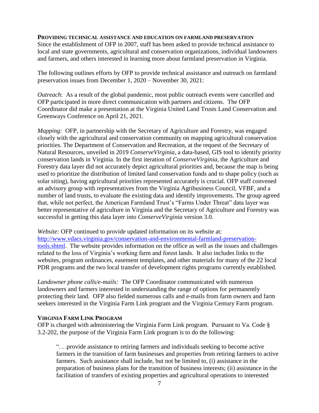### **PROVIDING TECHNICAL ASSISTANCE AND EDUCATION ON FARMLAND PRESERVATION**

Since the establishment of OFP in 2007, staff has been asked to provide technical assistance to local and state governments, agricultural and conservation organizations, individual landowners and farmers, and others interested in learning more about farmland preservation in Virginia.

The following outlines efforts by OFP to provide technical assistance and outreach on farmland preservation issues from December 1, 2020 – November 30, 2021:

*Outreach*: As a result of the global pandemic, most public outreach events were cancelled and OFP participated in more direct communication with partners and citizens. The OFP Coordinator did make a presentation at the Virginia United Land Trusts Land Conservation and Greenways Conference on April 21, 2021.

*Mapping:* OFP, in partnership with the Secretary of Agriculture and Forestry, was engaged closely with the agricultural and conservation community on mapping agricultural conservation priorities. The Department of Conservation and Recreation, at the request of the Secretary of Natural Resources, unveiled in 2019 *ConserveVirginia*, a data-based, GIS tool to identify priority conservation lands in Virginia. In the first iteration of *ConserveVirginia*, the Agriculture and Forestry data layer did not accurately depict agricultural priorities and, because the map is being used to prioritize the distribution of limited land conservation funds and to shape policy (such as solar siting), having agricultural priorities represented accurately is crucial. OFP staff convened an advisory group with representatives from the Virginia Agribusiness Council, VFBF, and a number of land trusts, to evaluate the existing data and identify improvements. The group agreed that, while not perfect, the American Farmland Trust's "Farms Under Threat" data layer was better representative of agriculture in Virginia and the Secretary of Agriculture and Forestry was successful in getting this data layer into *ConserveVirginia* version 3.0.

*Website:* OFP continued to provide updated information on its website at: [http://www.vdacs.virginia.gov/conservation-and-environmental-farmland-preservation](http://www.vdacs.virginia.gov/conservation-and-environmental-farmland-preservation-tools.shtml)[tools.shtml.](http://www.vdacs.virginia.gov/conservation-and-environmental-farmland-preservation-tools.shtml) The website provides information on the office as well as the issues and challenges related to the loss of Virginia's working farm and forest lands. It also includes links to the websites, program ordinances, easement templates, and other materials for many of the 22 local PDR programs and the two local transfer of development rights programs currently established.

*Landowner phone calls/e-mails:* The OFP Coordinator communicated with numerous landowners and farmers interested in understanding the range of options for permanently protecting their land. OFP also fielded numerous calls and e-mails from farm owners and farm seekers interested in the Virginia Farm Link program and the Virginia Century Farm program.

### **VIRGINIA FARM LINK PROGRAM**

OFP is charged with administering the Virginia Farm Link program. Pursuant to Va. Code § 3.2-202, the purpose of the Virginia Farm Link program is to do the following:

". . .provide assistance to retiring farmers and individuals seeking to become active farmers in the transition of farm businesses and properties from retiring farmers to active farmers. Such assistance shall include, but not be limited to, (i) assistance in the preparation of business plans for the transition of business interests; (ii) assistance in the facilitation of transfers of existing properties and agricultural operations to interested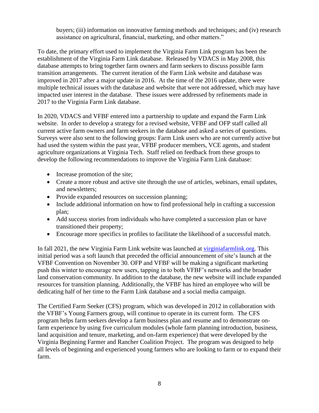buyers; (iii) information on innovative farming methods and techniques; and (iv) research assistance on agricultural, financial, marketing, and other matters."

To date, the primary effort used to implement the Virginia Farm Link program has been the establishment of the Virginia Farm Link database. Released by VDACS in May 2008, this database attempts to bring together farm owners and farm seekers to discuss possible farm transition arrangements. The current iteration of the Farm Link website and database was improved in 2017 after a major update in 2016. At the time of the 2016 update, there were multiple technical issues with the database and website that were not addressed, which may have impacted user interest in the database. These issues were addressed by refinements made in 2017 to the Virginia Farm Link database.

In 2020, VDACS and VFBF entered into a partnership to update and expand the Farm Link website. In order to develop a strategy for a revised website, VFBF and OFP staff called all current active farm owners and farm seekers in the database and asked a series of questions. Surveys were also sent to the following groups: Farm Link users who are not currently active but had used the system within the past year, VFBF producer members, VCE agents, and student agriculture organizations at Virginia Tech. Staff relied on feedback from these groups to develop the following recommendations to improve the Virginia Farm Link database:

- Increase promotion of the site;
- Create a more robust and active site through the use of articles, webinars, email updates, and newsletters;
- Provide expanded resources on succession planning;
- Include additional information on how to find professional help in crafting a succession plan;
- Add success stories from individuals who have completed a succession plan or have transitioned their property;
- Encourage more specifics in profiles to facilitate the likelihood of a successful match.

In fall 2021, the new Virginia Farm Link website was launched at [virginiafarmlink.org.](http://www.virginiafarmlink.org/) This initial period was a soft launch that preceded the official announcement of site's launch at the VFBF Convention on November 30. OFP and VFBF will be making a significant marketing push this winter to encourage new users, tapping in to both VFBF's networks and the broader land conservation community. In addition to the database, the new website will include expanded resources for transition planning. Additionally, the VFBF has hired an employee who will be dedicating half of her time to the Farm Link database and a social media campaign.

The Certified Farm Seeker (CFS) program, which was developed in 2012 in collaboration with the VFBF's Young Farmers group, will continue to operate in its current form. The CFS program helps farm seekers develop a farm business plan and resume and to demonstrate onfarm experience by using five curriculum modules (whole farm planning introduction, business, land acquisition and tenure, marketing, and on-farm experience) that were developed by the Virginia Beginning Farmer and Rancher Coalition Project. The program was designed to help all levels of beginning and experienced young farmers who are looking to farm or to expand their farm.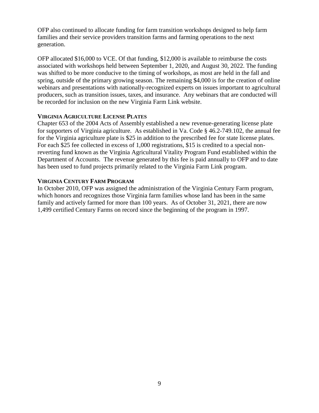OFP also continued to allocate funding for farm transition workshops designed to help farm families and their service providers transition farms and farming operations to the next generation.

OFP allocated \$16,000 to VCE. Of that funding, \$12,000 is available to reimburse the costs associated with workshops held between September 1, 2020, and August 30, 2022. The funding was shifted to be more conducive to the timing of workshops, as most are held in the fall and spring, outside of the primary growing season. The remaining \$4,000 is for the creation of online webinars and presentations with nationally-recognized experts on issues important to agricultural producers, such as transition issues, taxes, and insurance. Any webinars that are conducted will be recorded for inclusion on the new Virginia Farm Link website.

### **VIRGINIA AGRICULTURE LICENSE PLATES**

Chapter 653 of the 2004 Acts of Assembly established a new revenue-generating license plate for supporters of Virginia agriculture. As established in Va. Code § 46.2-749.102, the annual fee for the Virginia agriculture plate is \$25 in addition to the prescribed fee for state license plates. For each \$25 fee collected in excess of 1,000 registrations, \$15 is credited to a special nonreverting fund known as the Virginia Agricultural Vitality Program Fund established within the Department of Accounts. The revenue generated by this fee is paid annually to OFP and to date has been used to fund projects primarily related to the Virginia Farm Link program.

### **VIRGINIA CENTURY FARM PROGRAM**

In October 2010, OFP was assigned the administration of the Virginia Century Farm program, which honors and recognizes those Virginia farm families whose land has been in the same family and actively farmed for more than 100 years. As of October 31, 2021, there are now 1,499 certified Century Farms on record since the beginning of the program in 1997.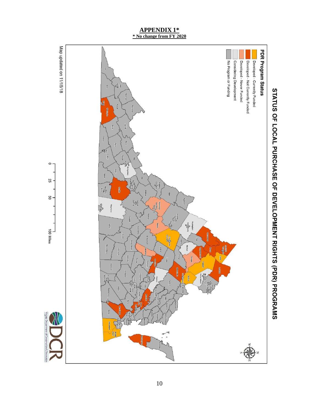

**APPENDIX 1\***

# STATUS OF LOCAL PURCHASE OF DEVELOPMENT RIGHTS (PDR) PROGRAMS

Virginia Department of Conservation & Recreation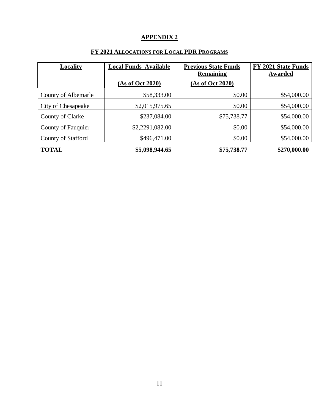# **APPENDIX 2**

# **FY 2021 ALLOCATIONS FOR LOCAL PDR PROGRAMS**

| <b>Locality</b>     | <b>Local Funds Available</b> | <b>Previous State Funds</b><br><b>Remaining</b> | FY 2021 State Funds<br>Awarded |  |
|---------------------|------------------------------|-------------------------------------------------|--------------------------------|--|
|                     | (As of Oct 2020)             | (As of Oct 2020)                                |                                |  |
| County of Albemarle | \$58,333.00                  | \$0.00                                          | \$54,000.00                    |  |
| City of Chesapeake  | \$2,015,975.65               | \$0.00                                          | \$54,000.00                    |  |
| County of Clarke    | \$237,084.00                 | \$75,738.77                                     | \$54,000.00                    |  |
| County of Fauquier  | \$2,2291,082.00              | \$0.00                                          | \$54,000.00                    |  |
| County of Stafford  | \$496,471.00                 | \$0.00                                          | \$54,000.00                    |  |
| <b>TOTAL</b>        | \$5,098,944.65               | \$75,738.77                                     | \$270,000.00                   |  |

11